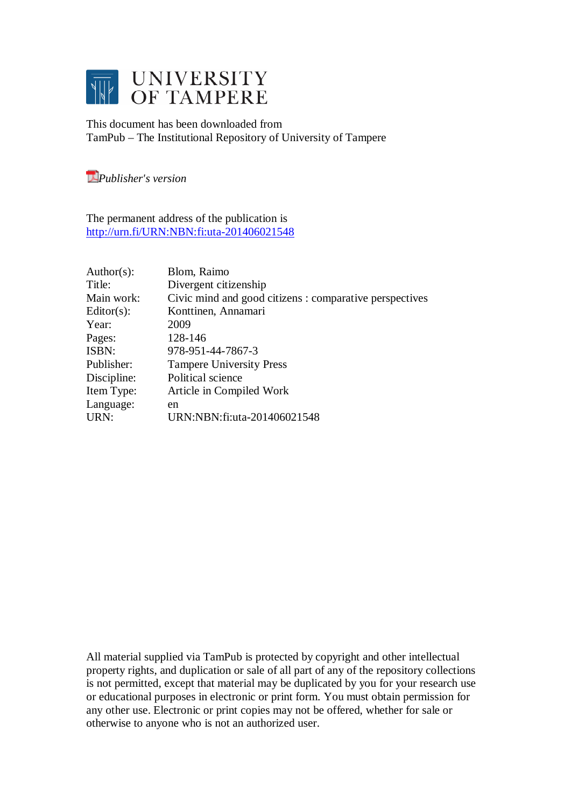

This document has been downloaded from TamPub – The Institutional Repository of University of Tampere

*[P](http://tampub.uta.fi/english/haekokoversio.php?id=1007)ublisher's version* 

The permanent address of the publication is <http://urn.fi/URN:NBN:fi:uta-201406021548>

| Author(s):    | Blom, Raimo                                             |
|---------------|---------------------------------------------------------|
| Title:        | Divergent citizenship                                   |
| Main work:    | Civic mind and good citizens : comparative perspectives |
| $Editor(s)$ : | Konttinen, Annamari                                     |
| Year:         | 2009                                                    |
| Pages:        | 128-146                                                 |
| ISBN:         | 978-951-44-7867-3                                       |
| Publisher:    | <b>Tampere University Press</b>                         |
| Discipline:   | Political science                                       |
| Item Type:    | Article in Compiled Work                                |
| Language:     | en                                                      |
| URN:          | URN:NBN:fi:uta-201406021548                             |

All material supplied via TamPub is protected by copyright and other intellectual property rights, and duplication or sale of all part of any of the repository collections is not permitted, except that material may be duplicated by you for your research use or educational purposes in electronic or print form. You must obtain permission for any other use. Electronic or print copies may not be offered, whether for sale or otherwise to anyone who is not an authorized user.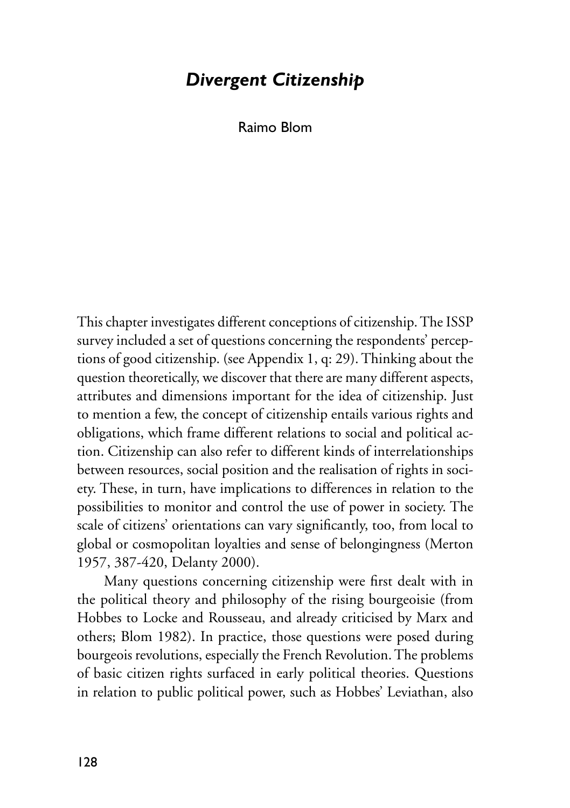## *Divergent Citizenship*

Raimo Blom

This chapter investigates different conceptions of citizenship. The ISSP survey included a set of questions concerning the respondents' perceptions of good citizenship. (see Appendix 1, q: 29). Thinking about the question theoretically, we discover that there are many different aspects, attributes and dimensions important for the idea of citizenship. Just to mention a few, the concept of citizenship entails various rights and obligations, which frame different relations to social and political action. Citizenship can also refer to different kinds of interrelationships between resources, social position and the realisation of rights in society. These, in turn, have implications to differences in relation to the possibilities to monitor and control the use of power in society. The scale of citizens' orientations can vary significantly, too, from local to global or cosmopolitan loyalties and sense of belongingness (Merton 1957, 387-420, Delanty 2000).

Many questions concerning citizenship were first dealt with in the political theory and philosophy of the rising bourgeoisie (from Hobbes to Locke and Rousseau, and already criticised by Marx and others; Blom 1982). In practice, those questions were posed during bourgeois revolutions, especially the French Revolution. The problems of basic citizen rights surfaced in early political theories. Questions in relation to public political power, such as Hobbes' Leviathan, also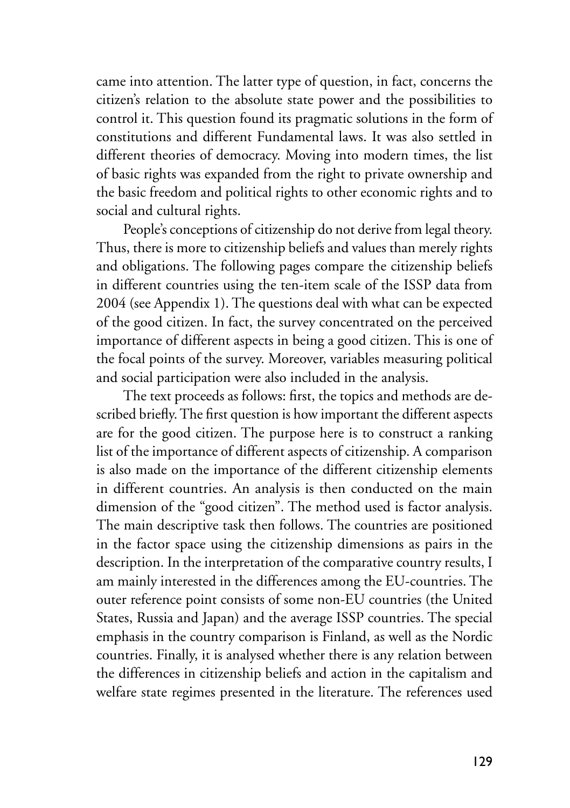came into attention. The latter type of question, in fact, concerns the citizen's relation to the absolute state power and the possibilities to control it. This question found its pragmatic solutions in the form of constitutions and different Fundamental laws. It was also settled in different theories of democracy. Moving into modern times, the list of basic rights was expanded from the right to private ownership and the basic freedom and political rights to other economic rights and to social and cultural rights.

People's conceptions of citizenship do not derive from legal theory. Thus, there is more to citizenship beliefs and values than merely rights and obligations. The following pages compare the citizenship beliefs in different countries using the ten-item scale of the ISSP data from 2004 (see Appendix 1). The questions deal with what can be expected of the good citizen. In fact, the survey concentrated on the perceived importance of different aspects in being a good citizen. This is one of the focal points of the survey. Moreover, variables measuring political and social participation were also included in the analysis.

The text proceeds as follows: first, the topics and methods are described briefly. The first question is how important the different aspects are for the good citizen. The purpose here is to construct a ranking list of the importance of different aspects of citizenship. A comparison is also made on the importance of the different citizenship elements in different countries. An analysis is then conducted on the main dimension of the "good citizen". The method used is factor analysis. The main descriptive task then follows. The countries are positioned in the factor space using the citizenship dimensions as pairs in the description. In the interpretation of the comparative country results, I am mainly interested in the differences among the EU-countries. The outer reference point consists of some non-EU countries (the United States, Russia and Japan) and the average ISSP countries. The special emphasis in the country comparison is Finland, as well as the Nordic countries. Finally, it is analysed whether there is any relation between the differences in citizenship beliefs and action in the capitalism and welfare state regimes presented in the literature. The references used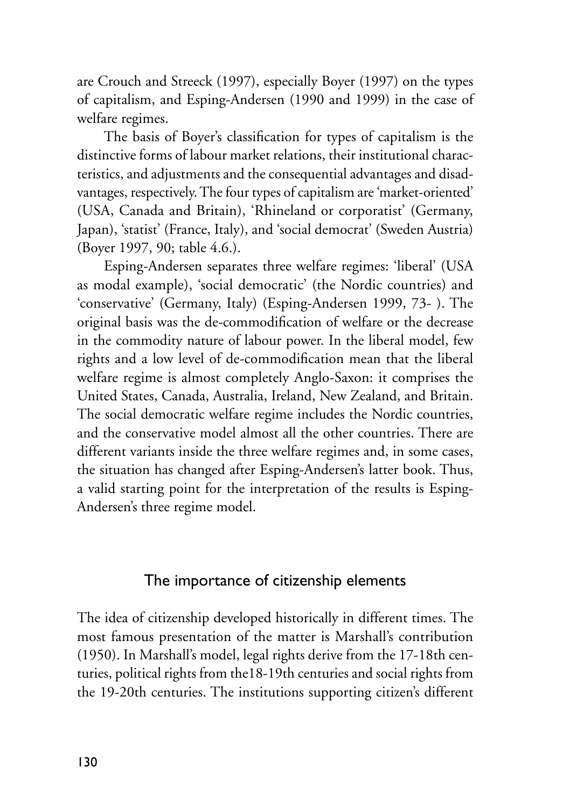are Crouch and Streeck (1997), especially Boyer (1997) on the types of capitalism, and Esping-Andersen (1990 and 1999) in the case of welfare regimes.

The basis of Boyer's classification for types of capitalism is the distinctive forms of labour market relations, their institutional characteristics, and adjustments and the consequential advantages and disadvantages, respectively. The four types of capitalism are 'market-oriented' (USA, Canada and Britain), 'Rhineland or corporatist' (Germany, Japan), 'statist' (France, Italy), and 'social democrat' (Sweden Austria) (Boyer 1997, 90; table 4.6.).

Esping-Andersen separates three welfare regimes: 'liberal' (USA as modal example), 'social democratic' (the Nordic countries) and 'conservative' (Germany, Italy) (Esping-Andersen 1999, 73- ). The original basis was the de-commodification of welfare or the decrease in the commodity nature of labour power. In the liberal model, few rights and a low level of de-commodification mean that the liberal welfare regime is almost completely Anglo-Saxon: it comprises the United States, Canada, Australia, Ireland, New Zealand, and Britain. The social democratic welfare regime includes the Nordic countries, and the conservative model almost all the other countries. There are different variants inside the three welfare regimes and, in some cases, the situation has changed after Esping-Andersen's latter book. Thus, a valid starting point for the interpretation of the results is Esping-Andersen's three regime model.

### The importance of citizenship elements

The idea of citizenship developed historically in different times. The most famous presentation of the matter is Marshall's contribution (1950). In Marshall's model, legal rights derive from the 17-18th centuries, political rights from the18-19th centuries and social rights from the 19-20th centuries. The institutions supporting citizen's different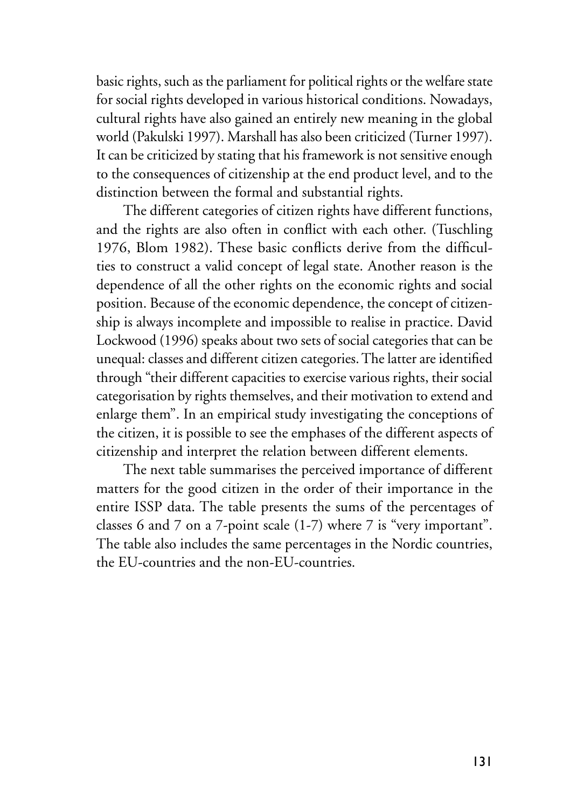basic rights, such as the parliament for political rights or the welfare state for social rights developed in various historical conditions. Nowadays, cultural rights have also gained an entirely new meaning in the global world (Pakulski 1997). Marshall has also been criticized (Turner 1997). It can be criticized by stating that his framework is not sensitive enough to the consequences of citizenship at the end product level, and to the distinction between the formal and substantial rights.

The different categories of citizen rights have different functions, and the rights are also often in conflict with each other. (Tuschling 1976, Blom 1982). These basic conflicts derive from the difficulties to construct a valid concept of legal state. Another reason is the dependence of all the other rights on the economic rights and social position. Because of the economic dependence, the concept of citizenship is always incomplete and impossible to realise in practice. David Lockwood (1996) speaks about two sets of social categories that can be unequal: classes and different citizen categories. The latter are identified through "their different capacities to exercise various rights, their social categorisation by rights themselves, and their motivation to extend and enlarge them". In an empirical study investigating the conceptions of the citizen, it is possible to see the emphases of the different aspects of citizenship and interpret the relation between different elements.

The next table summarises the perceived importance of different matters for the good citizen in the order of their importance in the entire ISSP data. The table presents the sums of the percentages of classes 6 and 7 on a 7-point scale (1-7) where 7 is "very important". The table also includes the same percentages in the Nordic countries, the EU-countries and the non-EU-countries.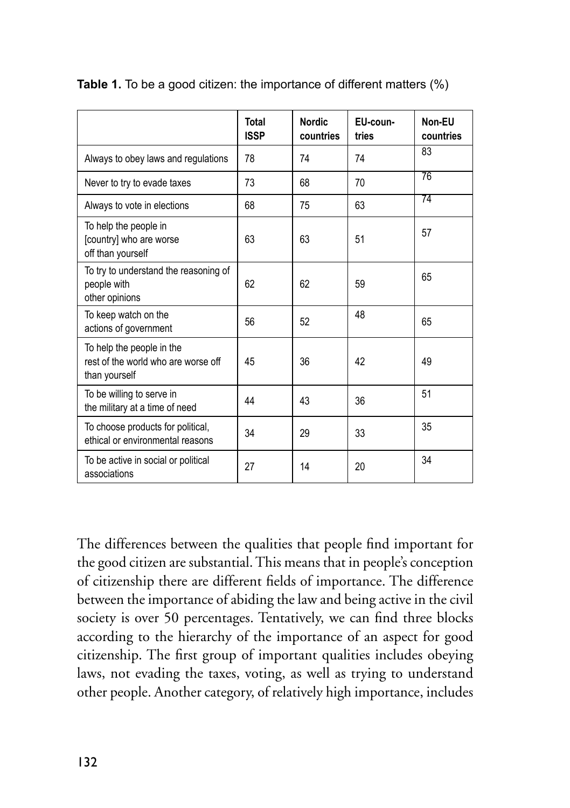|                                                                                   | <b>Total</b><br><b>ISSP</b> | <b>Nordic</b><br>countries | EU-coun-<br>tries | Non-EU<br>countries |
|-----------------------------------------------------------------------------------|-----------------------------|----------------------------|-------------------|---------------------|
| Always to obey laws and regulations                                               | 78                          | 74                         | 74                | 83                  |
| Never to try to evade taxes                                                       | 73                          | 68                         | 70                | 76                  |
| Always to vote in elections                                                       | 68                          | 75                         | 63                | 74                  |
| To help the people in<br>[country] who are worse<br>off than yourself             | 63                          | 63                         | 51                | 57                  |
| To try to understand the reasoning of<br>people with<br>other opinions            | 62                          | 62                         | 59                | 65                  |
| To keep watch on the<br>actions of government                                     | 56                          | 52                         | 48                | 65                  |
| To help the people in the<br>rest of the world who are worse off<br>than yourself | 45                          | 36                         | 42                | 49                  |
| To be willing to serve in<br>the military at a time of need                       | 44                          | 43                         | 36                | 51                  |
| To choose products for political,<br>ethical or environmental reasons             | 34                          | 29                         | 33                | 35                  |
| To be active in social or political<br>associations                               | 27                          | 14                         | 20                | 34                  |

**Table 1.** To be a good citizen: the importance of different matters (%)

The differences between the qualities that people find important for the good citizen are substantial. This means that in people's conception of citizenship there are different fields of importance. The difference between the importance of abiding the law and being active in the civil society is over 50 percentages. Tentatively, we can find three blocks according to the hierarchy of the importance of an aspect for good citizenship. The first group of important qualities includes obeying laws, not evading the taxes, voting, as well as trying to understand other people. Another category, of relatively high importance, includes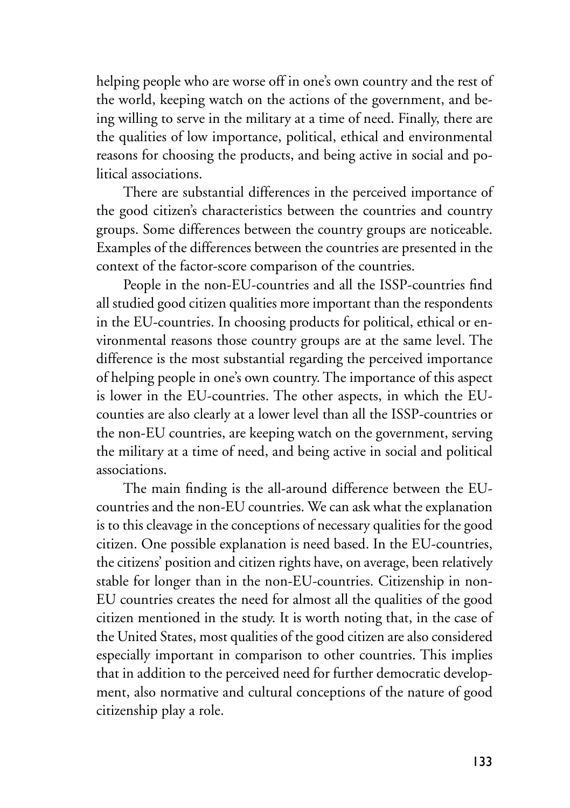helping people who are worse off in one's own country and the rest of the world, keeping watch on the actions of the government, and being willing to serve in the military at a time of need. Finally, there are the qualities of low importance, political, ethical and environmental reasons for choosing the products, and being active in social and political associations.

There are substantial differences in the perceived importance of the good citizen's characteristics between the countries and country groups. Some differences between the country groups are noticeable. Examples of the differences between the countries are presented in the context of the factor-score comparison of the countries.

People in the non-EU-countries and all the ISSP-countries find all studied good citizen qualities more important than the respondents in the EU-countries. In choosing products for political, ethical or environmental reasons those country groups are at the same level. The difference is the most substantial regarding the perceived importance of helping people in one's own country. The importance of this aspect is lower in the EU-countries. The other aspects, in which the EUcounties are also clearly at a lower level than all the ISSP-countries or the non-EU countries, are keeping watch on the government, serving the military at a time of need, and being active in social and political associations.

The main finding is the all-around difference between the EUcountries and the non-EU countries. We can ask what the explanation is to this cleavage in the conceptions of necessary qualities for the good citizen. One possible explanation is need based. In the EU-countries, the citizens' position and citizen rights have, on average, been relatively stable for longer than in the non-EU-countries. Citizenship in non-EU countries creates the need for almost all the qualities of the good citizen mentioned in the study. It is worth noting that, in the case of the United States, most qualities of the good citizen are also considered especially important in comparison to other countries. This implies that in addition to the perceived need for further democratic development, also normative and cultural conceptions of the nature of good citizenship play a role.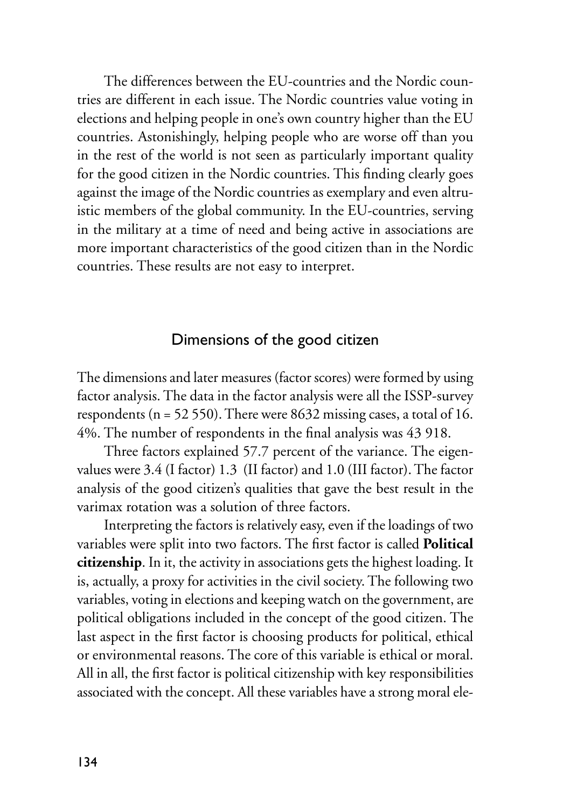The differences between the EU-countries and the Nordic countries are different in each issue. The Nordic countries value voting in elections and helping people in one's own country higher than the EU countries. Astonishingly, helping people who are worse off than you in the rest of the world is not seen as particularly important quality for the good citizen in the Nordic countries. This finding clearly goes against the image of the Nordic countries as exemplary and even altruistic members of the global community. In the EU-countries, serving in the military at a time of need and being active in associations are more important characteristics of the good citizen than in the Nordic countries. These results are not easy to interpret.

## Dimensions of the good citizen

The dimensions and later measures (factor scores) were formed by using factor analysis. The data in the factor analysis were all the ISSP-survey respondents (n = 52 550). There were 8632 missing cases, a total of 16. 4%. The number of respondents in the final analysis was 43 918.

Three factors explained 57.7 percent of the variance. The eigenvalues were 3.4 (I factor) 1.3 (II factor) and 1.0 (III factor). The factor analysis of the good citizen's qualities that gave the best result in the varimax rotation was a solution of three factors.

Interpreting the factors is relatively easy, even if the loadings of two variables were split into two factors. The first factor is called **Political citizenship**. In it, the activity in associations gets the highest loading. It is, actually, a proxy for activities in the civil society. The following two variables, voting in elections and keeping watch on the government, are political obligations included in the concept of the good citizen. The last aspect in the first factor is choosing products for political, ethical or environmental reasons. The core of this variable is ethical or moral. All in all, the first factor is political citizenship with key responsibilities associated with the concept. All these variables have a strong moral ele-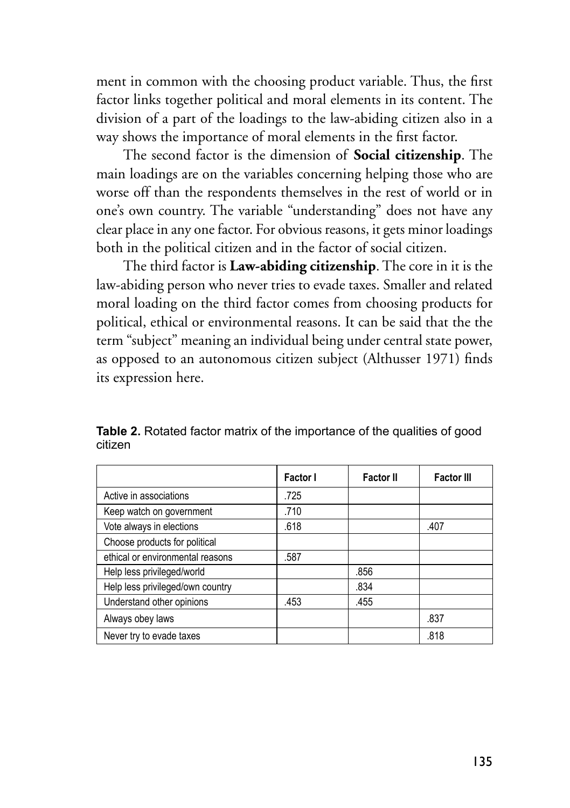ment in common with the choosing product variable. Thus, the first factor links together political and moral elements in its content. The division of a part of the loadings to the law-abiding citizen also in a way shows the importance of moral elements in the first factor.

The second factor is the dimension of **Social citizenship**. The main loadings are on the variables concerning helping those who are worse off than the respondents themselves in the rest of world or in one's own country. The variable "understanding" does not have any clear place in any one factor. For obvious reasons, it gets minor loadings both in the political citizen and in the factor of social citizen.

The third factor is **Law-abiding citizenship**. The core in it is the law-abiding person who never tries to evade taxes. Smaller and related moral loading on the third factor comes from choosing products for political, ethical or environmental reasons. It can be said that the the term "subject" meaning an individual being under central state power, as opposed to an autonomous citizen subject (Althusser 1971) finds its expression here.

|                                  | Factor I | <b>Factor II</b> | <b>Factor III</b> |
|----------------------------------|----------|------------------|-------------------|
| Active in associations           | .725     |                  |                   |
| Keep watch on government         | .710     |                  |                   |
| Vote always in elections         | .618     |                  | .407              |
| Choose products for political    |          |                  |                   |
| ethical or environmental reasons | .587     |                  |                   |
| Help less privileged/world       |          | .856             |                   |
| Help less privileged/own country |          | .834             |                   |
| Understand other opinions        | .453     | .455             |                   |
| Always obey laws                 |          |                  | .837              |
| Never try to evade taxes         |          |                  | .818              |

**Table 2.** Rotated factor matrix of the importance of the qualities of good citizen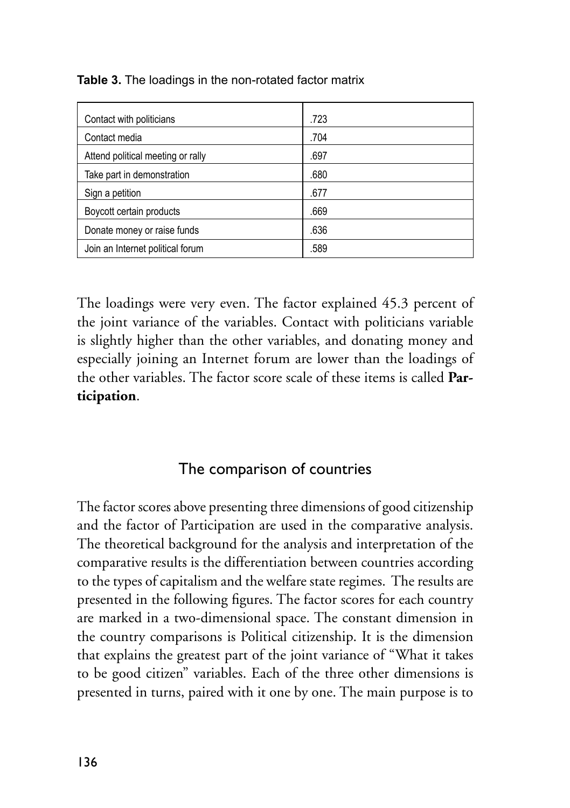| Contact with politicians          | .723 |
|-----------------------------------|------|
| Contact media                     | .704 |
| Attend political meeting or rally | .697 |
| Take part in demonstration        | .680 |
| Sign a petition                   | .677 |
| Boycott certain products          | .669 |
| Donate money or raise funds       | .636 |
| Join an Internet political forum  | .589 |
|                                   |      |

**Table 3.** The loadings in the non-rotated factor matrix

The loadings were very even. The factor explained 45.3 percent of the joint variance of the variables. Contact with politicians variable is slightly higher than the other variables, and donating money and especially joining an Internet forum are lower than the loadings of the other variables. The factor score scale of these items is called **Participation**.

## The comparison of countries

The factor scores above presenting three dimensions of good citizenship and the factor of Participation are used in the comparative analysis. The theoretical background for the analysis and interpretation of the comparative results is the differentiation between countries according to the types of capitalism and the welfare state regimes. The results are presented in the following figures. The factor scores for each country are marked in a two-dimensional space. The constant dimension in the country comparisons is Political citizenship. It is the dimension that explains the greatest part of the joint variance of "What it takes to be good citizen" variables. Each of the three other dimensions is presented in turns, paired with it one by one. The main purpose is to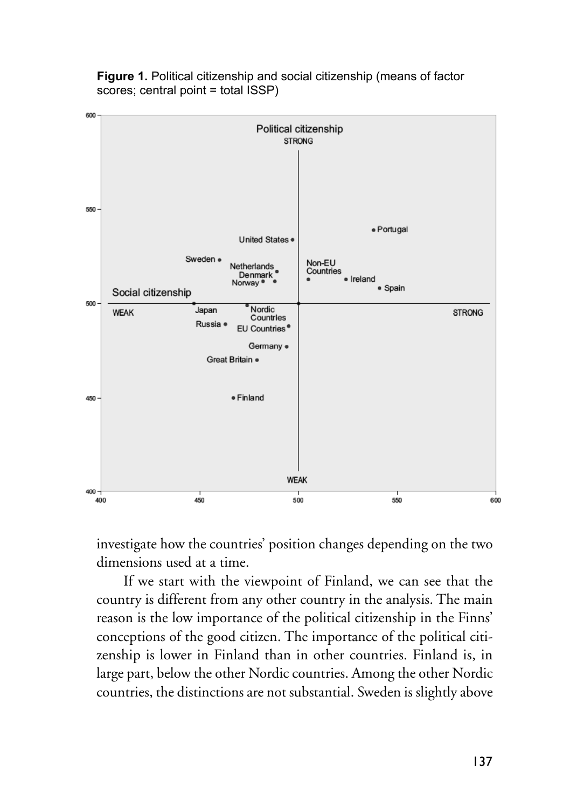

**Figure 1.** Political citizenship and social citizenship (means of factor scores; central point = total ISSP)

investigate how the countries' position changes depending on the two dimensions used at a time.

If we start with the viewpoint of Finland, we can see that the country is different from any other country in the analysis. The main reason is the low importance of the political citizenship in the Finns' conceptions of the good citizen. The importance of the political citizenship is lower in Finland than in other countries. Finland is, in large part, below the other Nordic countries. Among the other Nordic countries, the distinctions are not substantial. Sweden is slightly above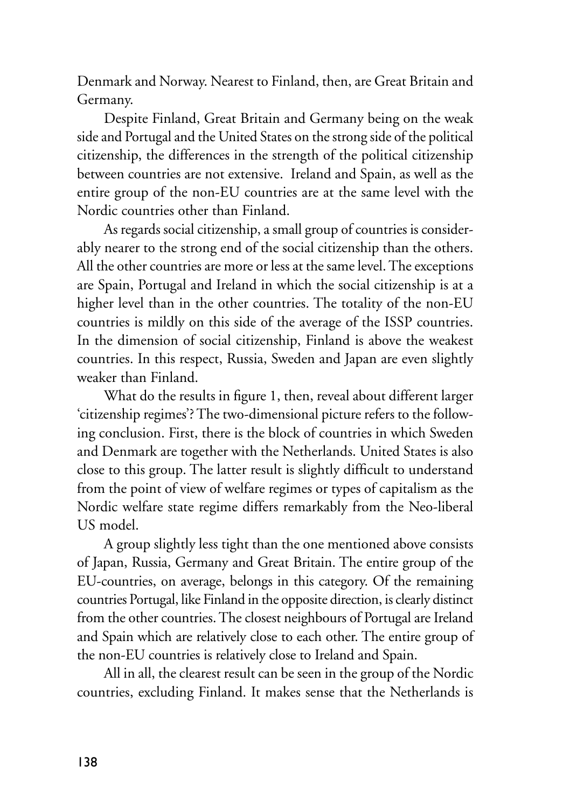Denmark and Norway. Nearest to Finland, then, are Great Britain and Germany.

Despite Finland, Great Britain and Germany being on the weak side and Portugal and the United States on the strong side of the political citizenship, the differences in the strength of the political citizenship between countries are not extensive. Ireland and Spain, as well as the entire group of the non-EU countries are at the same level with the Nordic countries other than Finland.

As regards social citizenship, a small group of countries is considerably nearer to the strong end of the social citizenship than the others. All the other countries are more or less at the same level. The exceptions are Spain, Portugal and Ireland in which the social citizenship is at a higher level than in the other countries. The totality of the non-EU countries is mildly on this side of the average of the ISSP countries. In the dimension of social citizenship, Finland is above the weakest countries. In this respect, Russia, Sweden and Japan are even slightly weaker than Finland.

What do the results in figure 1, then, reveal about different larger 'citizenship regimes'? The two-dimensional picture refers to the following conclusion. First, there is the block of countries in which Sweden and Denmark are together with the Netherlands. United States is also close to this group. The latter result is slightly difficult to understand from the point of view of welfare regimes or types of capitalism as the Nordic welfare state regime differs remarkably from the Neo-liberal US model.

A group slightly less tight than the one mentioned above consists of Japan, Russia, Germany and Great Britain. The entire group of the EU-countries, on average, belongs in this category. Of the remaining countries Portugal, like Finland in the opposite direction, is clearly distinct from the other countries. The closest neighbours of Portugal are Ireland and Spain which are relatively close to each other. The entire group of the non-EU countries is relatively close to Ireland and Spain.

All in all, the clearest result can be seen in the group of the Nordic countries, excluding Finland. It makes sense that the Netherlands is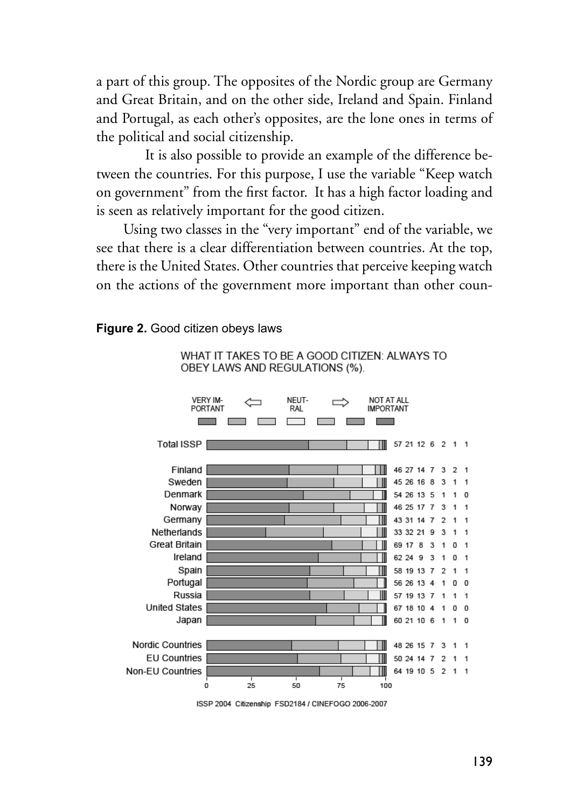a part of this group. The opposites of the Nordic group are Germany and Great Britain, and on the other side, Ireland and Spain. Finland and Portugal, as each other's opposites, are the lone ones in terms of the political and social citizenship.

 It is also possible to provide an example of the difference between the countries. For this purpose, I use the variable "Keep watch on government" from the first factor. It has a high factor loading and is seen as relatively important for the good citizen.

Using two classes in the "very important" end of the variable, we see that there is a clear differentiation between countries. At the top, there is the United States. Other countries that perceive keeping watch on the actions of the government more important than other coun-

#### **Figure 2.** Good citizen obeys laws

WHAT IT TAKES TO BE A GOOD CITIZEN: ALWAYS TO OBEY LAWS AND REGULATIONS (%).



ISSP 2004 Citizenship ESD2184 / CINEFOGO 2006-2007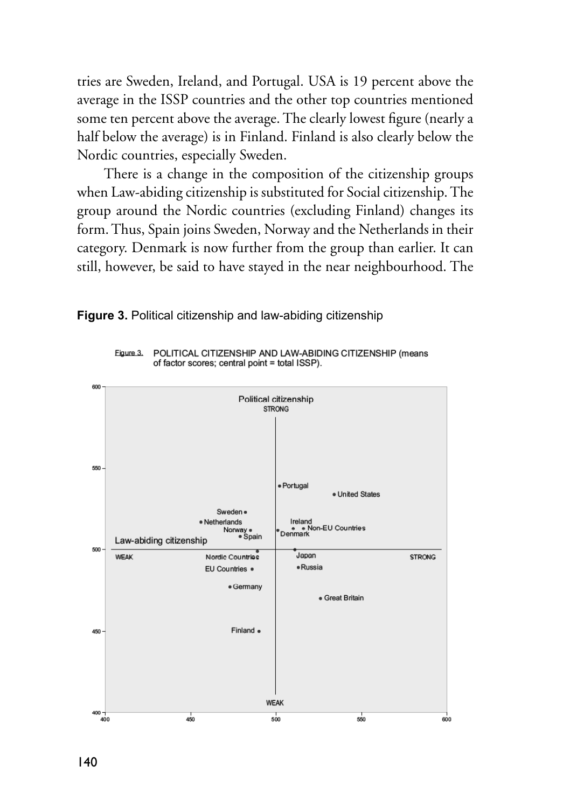tries are Sweden, Ireland, and Portugal. USA is 19 percent above the average in the ISSP countries and the other top countries mentioned some ten percent above the average. The clearly lowest figure (nearly a half below the average) is in Finland. Finland is also clearly below the Nordic countries, especially Sweden.

There is a change in the composition of the citizenship groups when Law-abiding citizenship is substituted for Social citizenship. The group around the Nordic countries (excluding Finland) changes its form. Thus, Spain joins Sweden, Norway and the Netherlands in their category. Denmark is now further from the group than earlier. It can still, however, be said to have stayed in the near neighbourhood. The

POLITICAL CITIZENSHIP AND LAW-ABIDING CITIZENSHIP (means



**Figure 3.** Political citizenship and law-abiding citizenship

Figure 3.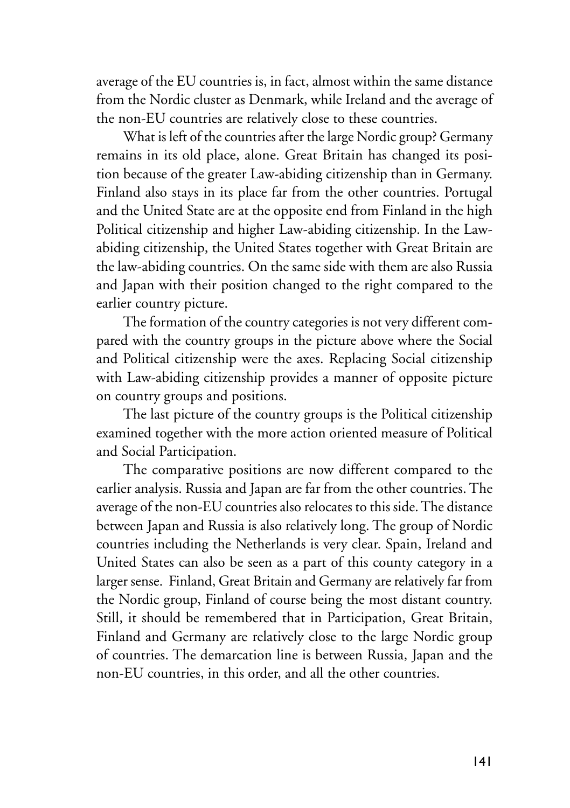average of the EU countries is, in fact, almost within the same distance from the Nordic cluster as Denmark, while Ireland and the average of the non-EU countries are relatively close to these countries.

What is left of the countries after the large Nordic group? Germany remains in its old place, alone. Great Britain has changed its position because of the greater Law-abiding citizenship than in Germany. Finland also stays in its place far from the other countries. Portugal and the United State are at the opposite end from Finland in the high Political citizenship and higher Law-abiding citizenship. In the Lawabiding citizenship, the United States together with Great Britain are the law-abiding countries. On the same side with them are also Russia and Japan with their position changed to the right compared to the earlier country picture.

The formation of the country categories is not very different compared with the country groups in the picture above where the Social and Political citizenship were the axes. Replacing Social citizenship with Law-abiding citizenship provides a manner of opposite picture on country groups and positions.

The last picture of the country groups is the Political citizenship examined together with the more action oriented measure of Political and Social Participation.

The comparative positions are now different compared to the earlier analysis. Russia and Japan are far from the other countries. The average of the non-EU countries also relocates to this side. The distance between Japan and Russia is also relatively long. The group of Nordic countries including the Netherlands is very clear. Spain, Ireland and United States can also be seen as a part of this county category in a larger sense. Finland, Great Britain and Germany are relatively far from the Nordic group, Finland of course being the most distant country. Still, it should be remembered that in Participation, Great Britain, Finland and Germany are relatively close to the large Nordic group of countries. The demarcation line is between Russia, Japan and the non-EU countries, in this order, and all the other countries.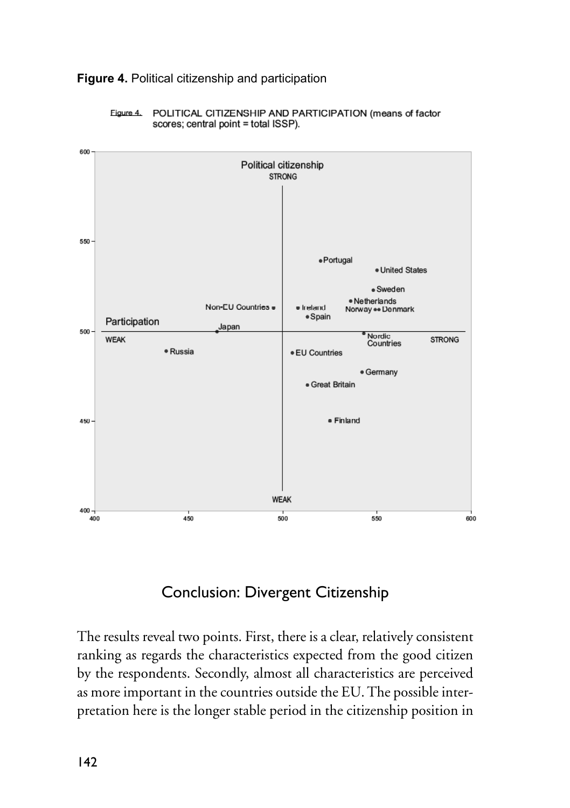

# **Figure 4. Political citizenship and participation**



## Conclusion: Divergent Citizenship

The results reveal two points. First, there is a clear, relatively consistent ranking as regards the characteristics expected from the good citizen by the respondents. Secondly, almost all characteristics are perceived as more important in the countries outside the EU. The possible interpretation here is the longer stable period in the citizenship position in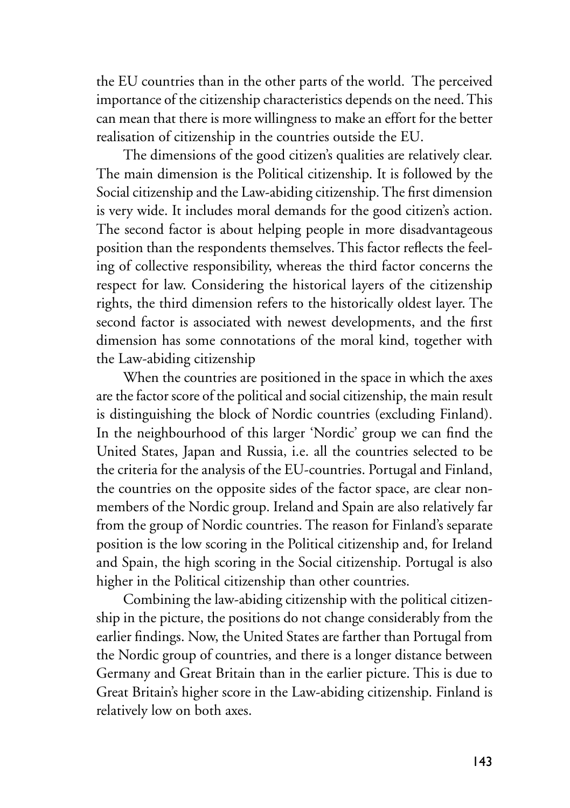the EU countries than in the other parts of the world. The perceived importance of the citizenship characteristics depends on the need. This can mean that there is more willingness to make an effort for the better realisation of citizenship in the countries outside the EU.

The dimensions of the good citizen's qualities are relatively clear. The main dimension is the Political citizenship. It is followed by the Social citizenship and the Law-abiding citizenship. The first dimension is very wide. It includes moral demands for the good citizen's action. The second factor is about helping people in more disadvantageous position than the respondents themselves. This factor reflects the feeling of collective responsibility, whereas the third factor concerns the respect for law. Considering the historical layers of the citizenship rights, the third dimension refers to the historically oldest layer. The second factor is associated with newest developments, and the first dimension has some connotations of the moral kind, together with the Law-abiding citizenship

When the countries are positioned in the space in which the axes are the factor score of the political and social citizenship, the main result is distinguishing the block of Nordic countries (excluding Finland). In the neighbourhood of this larger 'Nordic' group we can find the United States, Japan and Russia, i.e. all the countries selected to be the criteria for the analysis of the EU-countries. Portugal and Finland, the countries on the opposite sides of the factor space, are clear nonmembers of the Nordic group. Ireland and Spain are also relatively far from the group of Nordic countries. The reason for Finland's separate position is the low scoring in the Political citizenship and, for Ireland and Spain, the high scoring in the Social citizenship. Portugal is also higher in the Political citizenship than other countries.

Combining the law-abiding citizenship with the political citizenship in the picture, the positions do not change considerably from the earlier findings. Now, the United States are farther than Portugal from the Nordic group of countries, and there is a longer distance between Germany and Great Britain than in the earlier picture. This is due to Great Britain's higher score in the Law-abiding citizenship. Finland is relatively low on both axes.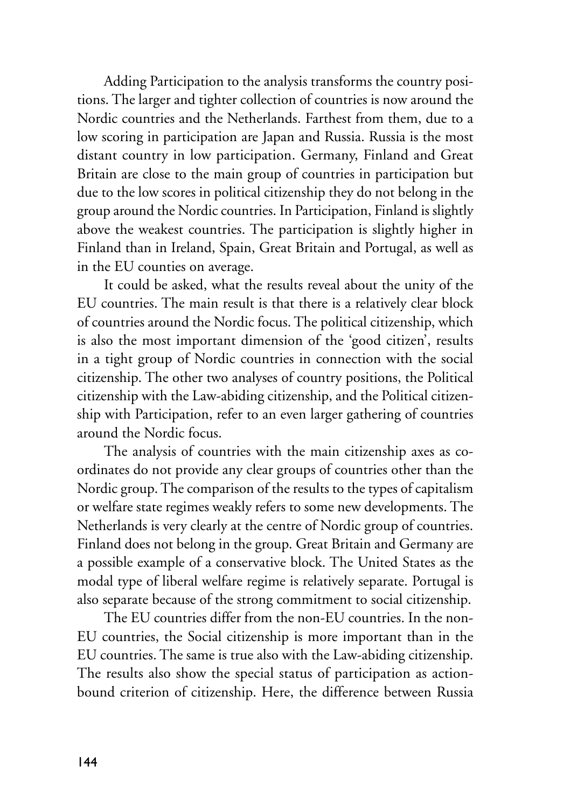Adding Participation to the analysis transforms the country positions. The larger and tighter collection of countries is now around the Nordic countries and the Netherlands. Farthest from them, due to a low scoring in participation are Japan and Russia. Russia is the most distant country in low participation. Germany, Finland and Great Britain are close to the main group of countries in participation but due to the low scores in political citizenship they do not belong in the group around the Nordic countries. In Participation, Finland is slightly above the weakest countries. The participation is slightly higher in Finland than in Ireland, Spain, Great Britain and Portugal, as well as in the EU counties on average.

It could be asked, what the results reveal about the unity of the EU countries. The main result is that there is a relatively clear block of countries around the Nordic focus. The political citizenship, which is also the most important dimension of the 'good citizen', results in a tight group of Nordic countries in connection with the social citizenship. The other two analyses of country positions, the Political citizenship with the Law-abiding citizenship, and the Political citizenship with Participation, refer to an even larger gathering of countries around the Nordic focus.

The analysis of countries with the main citizenship axes as coordinates do not provide any clear groups of countries other than the Nordic group. The comparison of the results to the types of capitalism or welfare state regimes weakly refers to some new developments. The Netherlands is very clearly at the centre of Nordic group of countries. Finland does not belong in the group. Great Britain and Germany are a possible example of a conservative block. The United States as the modal type of liberal welfare regime is relatively separate. Portugal is also separate because of the strong commitment to social citizenship.

The EU countries differ from the non-EU countries. In the non-EU countries, the Social citizenship is more important than in the EU countries. The same is true also with the Law-abiding citizenship. The results also show the special status of participation as actionbound criterion of citizenship. Here, the difference between Russia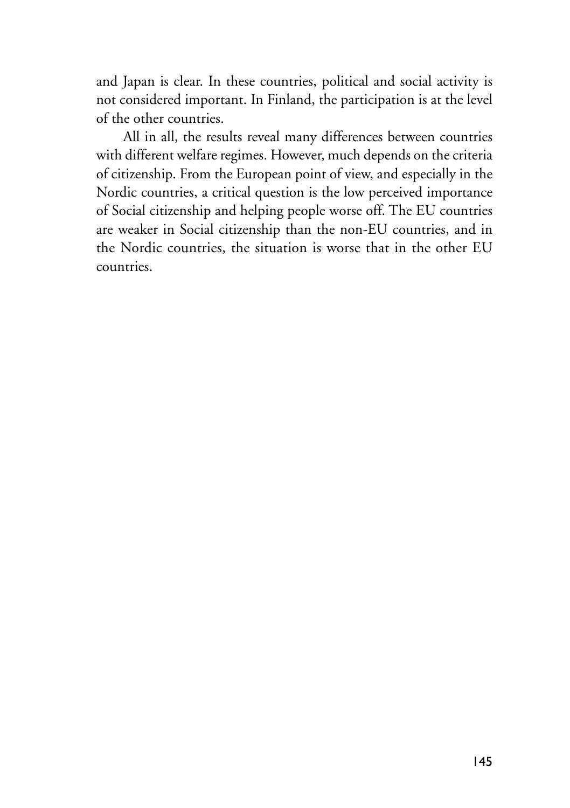and Japan is clear. In these countries, political and social activity is not considered important. In Finland, the participation is at the level of the other countries.

All in all, the results reveal many differences between countries with different welfare regimes. However, much depends on the criteria of citizenship. From the European point of view, and especially in the Nordic countries, a critical question is the low perceived importance of Social citizenship and helping people worse off. The EU countries are weaker in Social citizenship than the non-EU countries, and in the Nordic countries, the situation is worse that in the other EU countries.